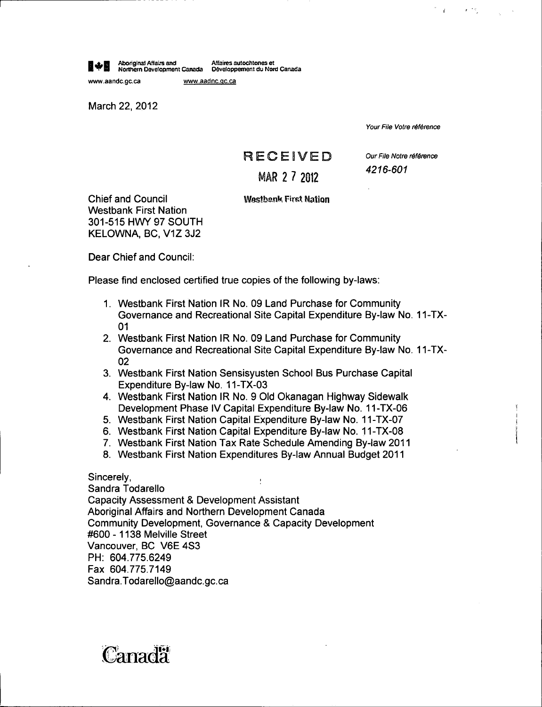Aboriginal Affairs and Afiaires autoc9etones at Northern Development Canada Davaloppernent du Nord Canada

www.aandc.gc.ca www.aadnc.gc.ca

March 22, 2012

Your File Votre référence

 $\mathbf{r}$  is

# **RECEIVED**

# MAR 2 7 2012

Our File Notre référence 4216 -601

Chief and Council Westbank First Nation Westbank First Nation 301 -515 HWY 97 SOUTH KELOWNA, BC, VIZ 3J2

Dear Chief and Council:

Please find enclosed certified true copies of the following by-laws:

- 1. Westbank First Nation IR No. 09 Land Purchase for Community Governance and Recreational Site Capital Expenditure By -law No. 11 -TX-01
- 2. Westbank First Nation IR No. 09 Land Purchase for Community Governance and Recreational Site Capital Expenditure By -law No. 11 -TX-02
- 3. Westbank First Nation Sensisyusten School Bus Purchase Capital Expenditure By-law No. 11-TX-03
- 4. Westbank First Nation IR No. 9 Old Okanagan. Highway Sidewalk Development Phase IV Capital Expenditure By-law No. 11-TX-06
- 5. Westbank First Nation Capital Expenditure By -law No. 11 -TX -07
- 6. Westbank First Nation Capital Expenditure By -law No. 11 -TX -08
- 7. Westbank First Nation Tax Rate Schedule Amending By -law 2011
- 8. Westbank First Nation Expenditures By -law Annual Budget 2011

Sincerely,

Sandra Todarello Capacity Assessment & Development Assistant Aboriginal Affairs and Northern Development Canada Community Development, Governance & Capacity Development 600 - 1138 Melville Street Vancouver, BC V6E 4S3 PH: 604.775.6249 Fax 604. 775. 7149 Sandra.Todarello@aandc.gc.ca

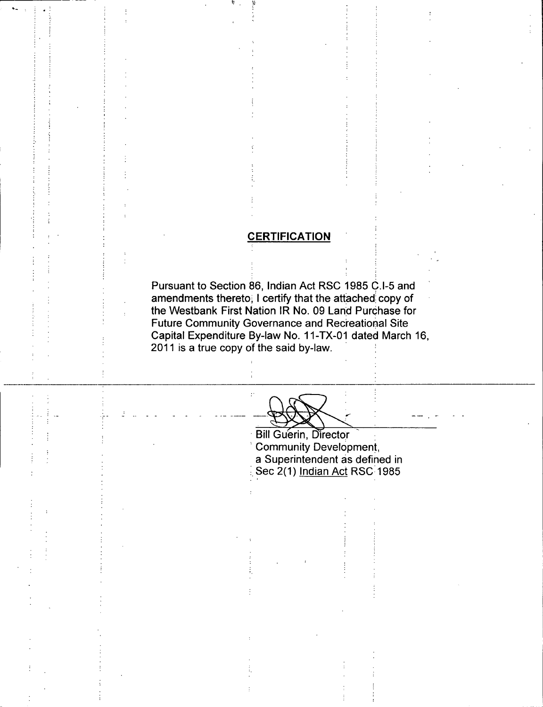## **CERTIFICATION**

Pursuant to Section 86, Indian Act RSC 1985 C.I-5 and amendments thereto, I certify that the attached copy of the Westbank First Nation IR No. 09 Land Purchase for Future Community Governance and Recreational Site Capital Expenditure By -law No. 11 -TX -01 dated March 16, 2011 is a true copy of the said by -law.

 $\ddot{\cdot}$ 

**Bill Guerin, Director** Community Development, a Superintendent as defined in Sec 2(1) Indian Act RSC 1985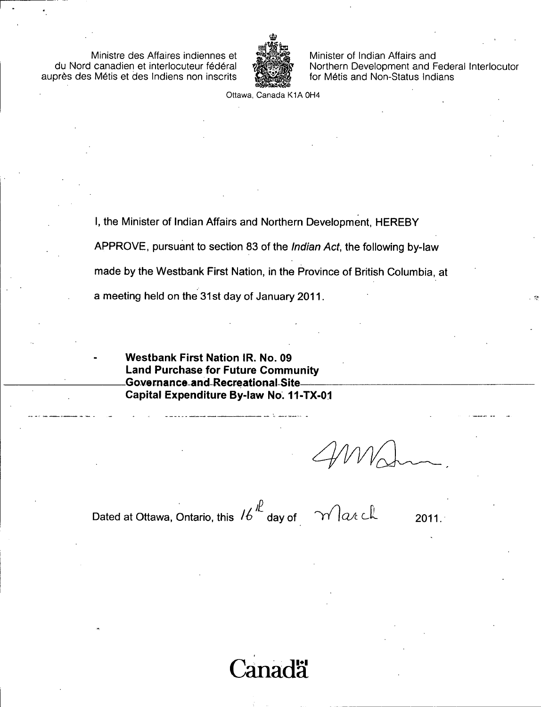Ministre des Affaires indiennes et du Nord canadien et interlocuteur federal aupres des Metis et des Indiens non inscrits



Minister of Indian Affairs and Northern Development and Federal Interlocutor for Métis and Non-Status Indians

Ottawa, Canada K1A OH4

I, the Minister of Indian Affairs and Northern Development, HEREBY APPROVE, pursuant to section 83 of the Indian Act, the following by -law made by the Westbank First Nation, in the Province of British Columbia, at a meeting held on the 31st day of January 2011.

Westbank First Nation IR. No. 09 Land Purchase for Future Community Governance and-Recreational Site Capital Expenditure By -law No. 11 -TX -01

Dated at Ottawa, Ontario, this  $16^{11}$  day of  $11^{10}$  at cubal cubal contains 2011.

aada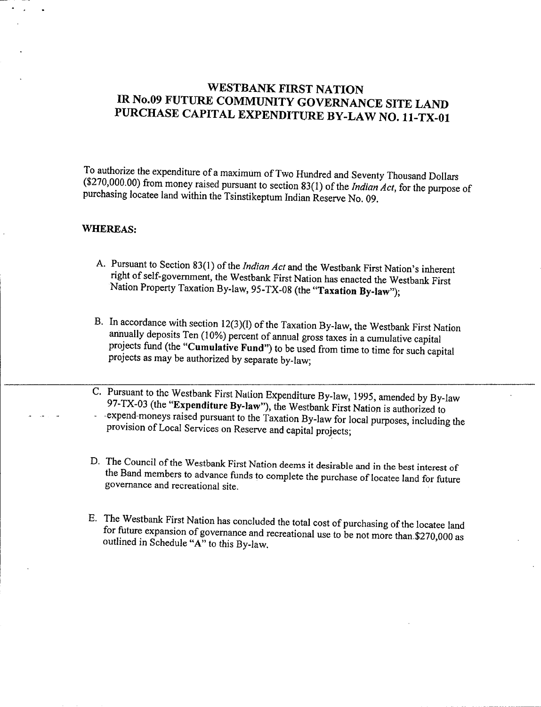## WESTBANK FIRST NATION IR No.09 FUTURE COMMUNITY GOVERNANCE SITE LAND PURCHASE CAPITAL EXPENDITURE BY -LAW NO. 11 -TX -01

To authorize the expenditure of <sup>a</sup> maximum of Two Hundred and Seventy Thousand Dollars (\$270,000.00) from money raised pursuant to section 83(1) of the *Indian Act*, for the purpose of purchasing locatee land within the Tsinstikeptum Indian Reserve No. 09.

## WHEREAS:

- A. Pursuant to Section 83(1) of the *Indian Act* and the Westbank First Nation's inherent right of self-government, the Westbank First Nation has enacted the Westbank First Nation Property Taxation By-law, 95-TX-08 (the "Taxation By-law");
- B. In accordance with section 12(3)(1) of the Taxation By-law, the Westbank First Nation annually deposits Ten (10%) percent of annual gross taxes in a cumulative capital projects fund (the "Cumulative Fund") to be used from time to time for such capital projects as may be authorized by separate by -law;
- C. Pursuant to the Westbank First Nation Expenditure By-law, 1995, amended by By-law 97-TX-03 (the "Expenditure By-law"), the Westbank First Nation is authorized to expend- moneys raised pursuant to the Taxation By -law for local purposes, including the provision of Local Services on Reserve and capital projects;
- D. The Council of the Westbank First Nation deems it desirable and in the best interest of the Band members to advance funds to complete the purchase of locatee land for future governance and recreational site.
- E. The Westbank First Nation has concluded the total cost of purchasing of the locatee land for future expansion of governance and recreational use to be not more than.\$270,000 as outlined in Schedule "A" to this By-law.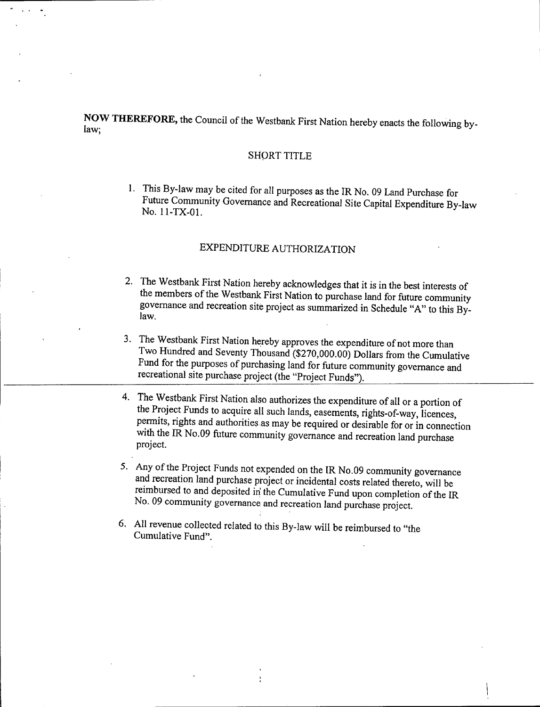NOW THEREFORE, the Council of the Westbank First Nation hereby enacts the following by- law;

### SHORT TITLE

1. This By -law may be cited for all purposes as the IR No. 09 Land Purchase for Future Community Governance and Recreational Site Capital Expenditure By-law No. 11-TX-01.

## EXPENDITURE AUTHORIZATION

- 2. The Westbank First Nation hereby acknowledges that it is in the best interests of the members of the Westbank First Nation to purchase land for future community governance and recreation site project as summarized in Schedule "A" to this By- law.
- 3. The Westbank First Nation hereby approves the expenditure of not more than Two Hundred and Seventy Thousand (\$270,000.00) Dollars from the Cumulative Fund for the purposes of purchasing land for future community governance and recreational site purchase project (the "Project Funds").
- 4. The Westbank First Nation also authorizes the expenditure of all or <sup>a</sup> portion of the Project Funds to acquire all such lands, easements, rights-of-way, licences, permits, rights and authorities as may be required or desirable for or in connection with the IR No.09 future community governance and recreation land purchase project.
- 5. Any of the Project Funds not expended on the IR No.09 community governance and recreation land purchase project or incidental costs related thereto, will be reimbursed to and deposited iri the Cumulative Fund upon completion of the IR No. 09 community governance and recreation land purchase project.
- 6. All revenue collected related to this By -law will be reimbursed to " the Cumulative Fund".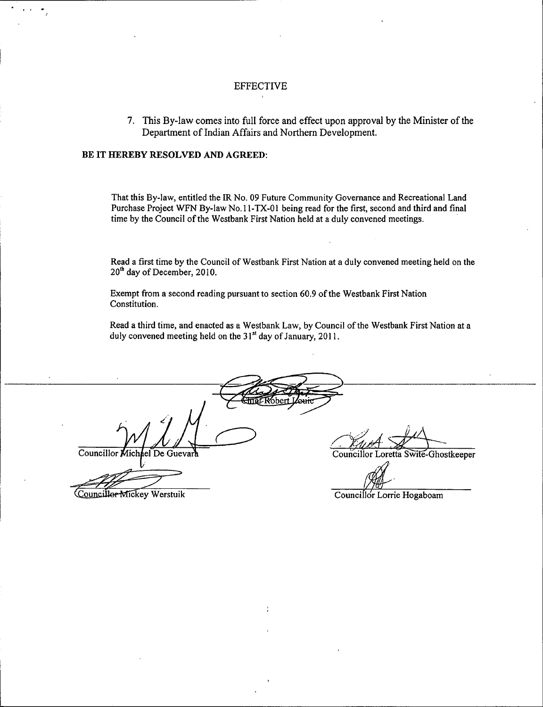#### EFFECTIVE

7. This By -law comes into full force and effect upon approval by the Minister of the Department of Indian Affairs and Northern Development.

#### BE IT HEREBY RESOLVED AND AGREED:

That this By -law, entitled the IR No. 09 Future Community Governance and Recreational Land Purchase Project WFN By-law No. 11-TX-01 being read for the first, second and third and final time by the Council of the Westbank First Nation held at a duly convened meetings.

Read <sup>a</sup> first time by the Council of Westbank First Nation at <sup>a</sup> duly convened meeting held on the 20<sup>th</sup> day of December, 2010.

Exempt from <sup>a</sup> second reading pursuant to section 60.9 of the Westbank First Nation Constitution.

Read a third time, and enacted as a Westbank Law, by Council of the Westbank First Nation at a duly convened meeting held on the 31<sup>st</sup> day of January, 2011.

Councillor Michael De Guevara Councillor Loretta Swite-Ghostkeeper Councillor Mickey Werstuik Councillor Lorrie Hogaboam